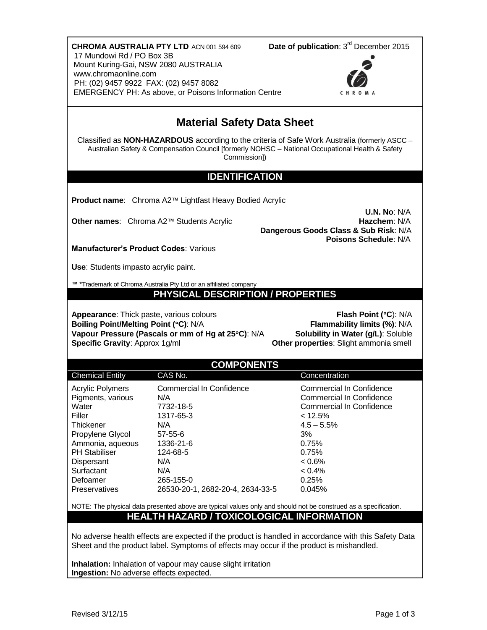| 17 Mundowi Rd / PO Box 3B<br>Mount Kuring-Gai, NSW 2080 AUSTRALIA<br>www.chromaonline.com<br>PH: (02) 9457 9922 FAX: (02) 9457 8082                                                                                                                                                                                                                      | <b>CHROMA AUSTRALIA PTY LTD ACN 001 594 609</b><br>EMERGENCY PH: As above, or Poisons Information Centre                                                                   | Date of publication: 3 <sup>rd</sup> December 2015                                                                                                                                      |
|----------------------------------------------------------------------------------------------------------------------------------------------------------------------------------------------------------------------------------------------------------------------------------------------------------------------------------------------------------|----------------------------------------------------------------------------------------------------------------------------------------------------------------------------|-----------------------------------------------------------------------------------------------------------------------------------------------------------------------------------------|
| <b>Material Safety Data Sheet</b>                                                                                                                                                                                                                                                                                                                        |                                                                                                                                                                            |                                                                                                                                                                                         |
| Classified as NON-HAZARDOUS according to the criteria of Safe Work Australia (formerly ASCC -<br>Australian Safety & Compensation Council [formerly NOHSC - National Occupational Health & Safety<br>Commission])                                                                                                                                        |                                                                                                                                                                            |                                                                                                                                                                                         |
| <b>IDENTIFICATION</b>                                                                                                                                                                                                                                                                                                                                    |                                                                                                                                                                            |                                                                                                                                                                                         |
| Product name: Chroma A2™ Lightfast Heavy Bodied Acrylic                                                                                                                                                                                                                                                                                                  |                                                                                                                                                                            |                                                                                                                                                                                         |
|                                                                                                                                                                                                                                                                                                                                                          | Other names: Chroma A2™ Students Acrylic                                                                                                                                   | U.N. No: N/A<br>Hazchem: N/A<br>Dangerous Goods Class & Sub Risk: N/A<br>Poisons Schedule: N/A                                                                                          |
| <b>Manufacturer's Product Codes: Various</b>                                                                                                                                                                                                                                                                                                             |                                                                                                                                                                            |                                                                                                                                                                                         |
| Use: Students impasto acrylic paint.                                                                                                                                                                                                                                                                                                                     |                                                                                                                                                                            |                                                                                                                                                                                         |
| ™ *Trademark of Chroma Australia Pty Ltd or an affiliated company                                                                                                                                                                                                                                                                                        |                                                                                                                                                                            |                                                                                                                                                                                         |
| PHYSICAL DESCRIPTION / PROPERTIES                                                                                                                                                                                                                                                                                                                        |                                                                                                                                                                            |                                                                                                                                                                                         |
| Flash Point (°C): N/A<br><b>Appearance:</b> Thick paste, various colours<br>Boiling Point/Melting Point (°C): N/A<br>Flammability limits (%): N/A<br>Vapour Pressure (Pascals or mm of Hg at 25°C): N/A<br>Solubility in Water (g/L): Soluble<br>Specific Gravity: Approx 1g/ml<br>Other properties: Slight ammonia smell                                |                                                                                                                                                                            |                                                                                                                                                                                         |
|                                                                                                                                                                                                                                                                                                                                                          | <b>COMPONENTS</b>                                                                                                                                                          |                                                                                                                                                                                         |
| <b>Chemical Entity</b>                                                                                                                                                                                                                                                                                                                                   | CAS No.                                                                                                                                                                    | Concentration                                                                                                                                                                           |
| <b>Acrylic Polymers</b><br>Pigments, various<br>Water<br>Filler<br>Thickener<br>Propylene Glycol<br>Ammonia, aqueous<br><b>PH Stabiliser</b><br>Dispersant<br>Surfactant<br>Defoamer<br>Preservatives                                                                                                                                                    | <b>Commercial In Confidence</b><br>N/A<br>7732-18-5<br>1317-65-3<br>N/A<br>57-55-6<br>1336-21-6<br>124-68-5<br>N/A<br>N/A<br>265-155-0<br>26530-20-1, 2682-20-4, 2634-33-5 | <b>Commercial In Confidence</b><br>Commercial In Confidence<br>Commercial In Confidence<br>< 12.5%<br>$4.5 - 5.5%$<br>3%<br>0.75%<br>0.75%<br>$< 0.6\%$<br>$< 0.4\%$<br>0.25%<br>0.045% |
| NOTE: The physical data presented above are typical values only and should not be construed as a specification.                                                                                                                                                                                                                                          |                                                                                                                                                                            |                                                                                                                                                                                         |
| HEALTH HAZARD / TOXICOLOGICAL INFORMATION<br>No adverse health effects are expected if the product is handled in accordance with this Safety Data<br>Sheet and the product label. Symptoms of effects may occur if the product is mishandled.<br>Inhalation: Inhalation of vapour may cause slight irritation<br>Ingestion: No adverse effects expected. |                                                                                                                                                                            |                                                                                                                                                                                         |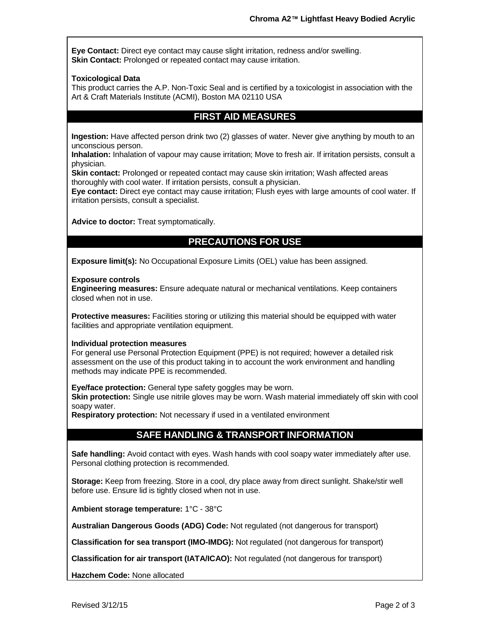**Eye Contact:** Direct eye contact may cause slight irritation, redness and/or swelling. **Skin Contact:** Prolonged or repeated contact may cause irritation.

#### **Toxicological Data**

This product carries the A.P. Non-Toxic Seal and is certified by a toxicologist in association with the Art & Craft Materials Institute (ACMI), Boston MA 02110 USA

### **FIRST AID MEASURES**

**Ingestion:** Have affected person drink two (2) glasses of water. Never give anything by mouth to an unconscious person.

**Inhalation:** Inhalation of vapour may cause irritation; Move to fresh air. If irritation persists, consult a physician.

**Skin contact:** Prolonged or repeated contact may cause skin irritation; Wash affected areas thoroughly with cool water. If irritation persists, consult a physician.

**Eye contact:** Direct eye contact may cause irritation; Flush eyes with large amounts of cool water. If irritation persists, consult a specialist.

**Advice to doctor:** Treat symptomatically.

# **PRECAUTIONS FOR USE**

**Exposure limit(s):** No Occupational Exposure Limits (OEL) value has been assigned.

#### **Exposure controls**

**Engineering measures:** Ensure adequate natural or mechanical ventilations. Keep containers closed when not in use.

**Protective measures:** Facilities storing or utilizing this material should be equipped with water facilities and appropriate ventilation equipment.

#### **Individual protection measures**

For general use Personal Protection Equipment (PPE) is not required; however a detailed risk assessment on the use of this product taking in to account the work environment and handling methods may indicate PPE is recommended.

**Eye/face protection:** General type safety goggles may be worn.

**Skin protection:** Single use nitrile gloves may be worn. Wash material immediately off skin with cool soapy water.

**Respiratory protection:** Not necessary if used in a ventilated environment

## **SAFE HANDLING & TRANSPORT INFORMATION**

**Safe handling:** Avoid contact with eyes. Wash hands with cool soapy water immediately after use. Personal clothing protection is recommended.

**Storage:** Keep from freezing. Store in a cool, dry place away from direct sunlight. Shake/stir well before use. Ensure lid is tightly closed when not in use.

**Ambient storage temperature:** 1°C - 38°C

**Australian Dangerous Goods (ADG) Code:** Not regulated (not dangerous for transport)

**Classification for sea transport (IMO-IMDG):** Not regulated (not dangerous for transport)

**Classification for air transport (IATA/ICAO):** Not regulated (not dangerous for transport)

**Hazchem Code:** None allocated